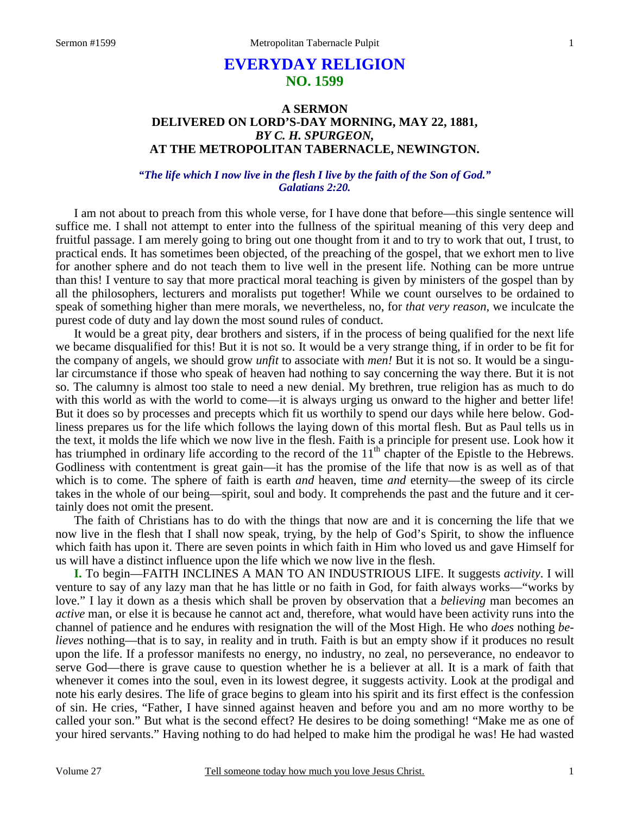# **EVERYDAY RELIGION NO. 1599**

## **A SERMON DELIVERED ON LORD'S-DAY MORNING, MAY 22, 1881,**  *BY C. H. SPURGEON,*  **AT THE METROPOLITAN TABERNACLE, NEWINGTON.**

*"The life which I now live in the flesh I live by the faith of the Son of God." Galatians 2:20.* 

I am not about to preach from this whole verse, for I have done that before—this single sentence will suffice me. I shall not attempt to enter into the fullness of the spiritual meaning of this very deep and fruitful passage. I am merely going to bring out one thought from it and to try to work that out, I trust, to practical ends. It has sometimes been objected, of the preaching of the gospel, that we exhort men to live for another sphere and do not teach them to live well in the present life. Nothing can be more untrue than this! I venture to say that more practical moral teaching is given by ministers of the gospel than by all the philosophers, lecturers and moralists put together! While we count ourselves to be ordained to speak of something higher than mere morals, we nevertheless, no, for *that very reason*, we inculcate the purest code of duty and lay down the most sound rules of conduct.

 It would be a great pity, dear brothers and sisters, if in the process of being qualified for the next life we became disqualified for this! But it is not so. It would be a very strange thing, if in order to be fit for the company of angels, we should grow *unfit* to associate with *men!* But it is not so. It would be a singular circumstance if those who speak of heaven had nothing to say concerning the way there. But it is not so. The calumny is almost too stale to need a new denial. My brethren, true religion has as much to do with this world as with the world to come—it is always urging us onward to the higher and better life! But it does so by processes and precepts which fit us worthily to spend our days while here below. Godliness prepares us for the life which follows the laying down of this mortal flesh. But as Paul tells us in the text, it molds the life which we now live in the flesh. Faith is a principle for present use. Look how it has triumphed in ordinary life according to the record of the  $11<sup>th</sup>$  chapter of the Epistle to the Hebrews. Godliness with contentment is great gain—it has the promise of the life that now is as well as of that which is to come. The sphere of faith is earth *and* heaven, time *and* eternity—the sweep of its circle takes in the whole of our being—spirit, soul and body. It comprehends the past and the future and it certainly does not omit the present.

 The faith of Christians has to do with the things that now are and it is concerning the life that we now live in the flesh that I shall now speak, trying, by the help of God's Spirit, to show the influence which faith has upon it. There are seven points in which faith in Him who loved us and gave Himself for us will have a distinct influence upon the life which we now live in the flesh.

**I.** To begin—FAITH INCLINES A MAN TO AN INDUSTRIOUS LIFE. It suggests *activity*. I will venture to say of any lazy man that he has little or no faith in God, for faith always works—"works by love." I lay it down as a thesis which shall be proven by observation that a *believing* man becomes an *active* man, or else it is because he cannot act and, therefore, what would have been activity runs into the channel of patience and he endures with resignation the will of the Most High. He who *does* nothing *believes* nothing—that is to say, in reality and in truth. Faith is but an empty show if it produces no result upon the life. If a professor manifests no energy, no industry, no zeal, no perseverance, no endeavor to serve God—there is grave cause to question whether he is a believer at all. It is a mark of faith that whenever it comes into the soul, even in its lowest degree, it suggests activity. Look at the prodigal and note his early desires. The life of grace begins to gleam into his spirit and its first effect is the confession of sin. He cries, "Father, I have sinned against heaven and before you and am no more worthy to be called your son." But what is the second effect? He desires to be doing something! "Make me as one of your hired servants." Having nothing to do had helped to make him the prodigal he was! He had wasted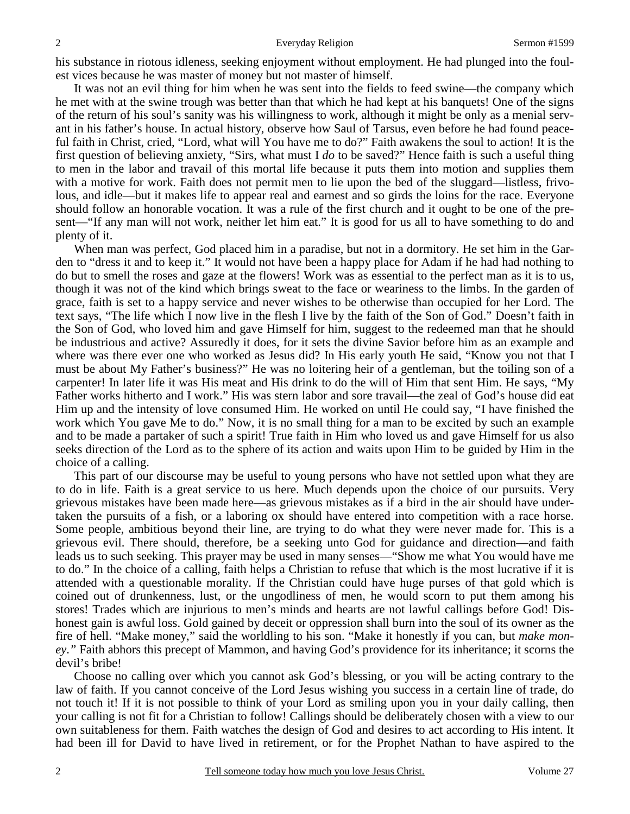his substance in riotous idleness, seeking enjoyment without employment. He had plunged into the foulest vices because he was master of money but not master of himself.

 It was not an evil thing for him when he was sent into the fields to feed swine—the company which he met with at the swine trough was better than that which he had kept at his banquets! One of the signs of the return of his soul's sanity was his willingness to work, although it might be only as a menial servant in his father's house. In actual history, observe how Saul of Tarsus, even before he had found peaceful faith in Christ, cried, "Lord, what will You have me to do?" Faith awakens the soul to action! It is the first question of believing anxiety, "Sirs, what must I *do* to be saved?" Hence faith is such a useful thing to men in the labor and travail of this mortal life because it puts them into motion and supplies them with a motive for work. Faith does not permit men to lie upon the bed of the sluggard—listless, frivolous, and idle—but it makes life to appear real and earnest and so girds the loins for the race. Everyone should follow an honorable vocation. It was a rule of the first church and it ought to be one of the present—"If any man will not work, neither let him eat." It is good for us all to have something to do and plenty of it.

 When man was perfect, God placed him in a paradise, but not in a dormitory. He set him in the Garden to "dress it and to keep it." It would not have been a happy place for Adam if he had had nothing to do but to smell the roses and gaze at the flowers! Work was as essential to the perfect man as it is to us, though it was not of the kind which brings sweat to the face or weariness to the limbs. In the garden of grace, faith is set to a happy service and never wishes to be otherwise than occupied for her Lord. The text says, "The life which I now live in the flesh I live by the faith of the Son of God." Doesn't faith in the Son of God, who loved him and gave Himself for him, suggest to the redeemed man that he should be industrious and active? Assuredly it does, for it sets the divine Savior before him as an example and where was there ever one who worked as Jesus did? In His early youth He said, "Know you not that I must be about My Father's business?" He was no loitering heir of a gentleman, but the toiling son of a carpenter! In later life it was His meat and His drink to do the will of Him that sent Him. He says, "My Father works hitherto and I work." His was stern labor and sore travail—the zeal of God's house did eat Him up and the intensity of love consumed Him. He worked on until He could say, "I have finished the work which You gave Me to do." Now, it is no small thing for a man to be excited by such an example and to be made a partaker of such a spirit! True faith in Him who loved us and gave Himself for us also seeks direction of the Lord as to the sphere of its action and waits upon Him to be guided by Him in the choice of a calling.

 This part of our discourse may be useful to young persons who have not settled upon what they are to do in life. Faith is a great service to us here. Much depends upon the choice of our pursuits. Very grievous mistakes have been made here—as grievous mistakes as if a bird in the air should have undertaken the pursuits of a fish, or a laboring ox should have entered into competition with a race horse. Some people, ambitious beyond their line, are trying to do what they were never made for. This is a grievous evil. There should, therefore, be a seeking unto God for guidance and direction—and faith leads us to such seeking. This prayer may be used in many senses—"Show me what You would have me to do." In the choice of a calling, faith helps a Christian to refuse that which is the most lucrative if it is attended with a questionable morality. If the Christian could have huge purses of that gold which is coined out of drunkenness, lust, or the ungodliness of men, he would scorn to put them among his stores! Trades which are injurious to men's minds and hearts are not lawful callings before God! Dishonest gain is awful loss. Gold gained by deceit or oppression shall burn into the soul of its owner as the fire of hell. "Make money," said the worldling to his son. "Make it honestly if you can, but *make money*.*"* Faith abhors this precept of Mammon, and having God's providence for its inheritance; it scorns the devil's bribe!

 Choose no calling over which you cannot ask God's blessing, or you will be acting contrary to the law of faith. If you cannot conceive of the Lord Jesus wishing you success in a certain line of trade, do not touch it! If it is not possible to think of your Lord as smiling upon you in your daily calling, then your calling is not fit for a Christian to follow! Callings should be deliberately chosen with a view to our own suitableness for them. Faith watches the design of God and desires to act according to His intent. It had been ill for David to have lived in retirement, or for the Prophet Nathan to have aspired to the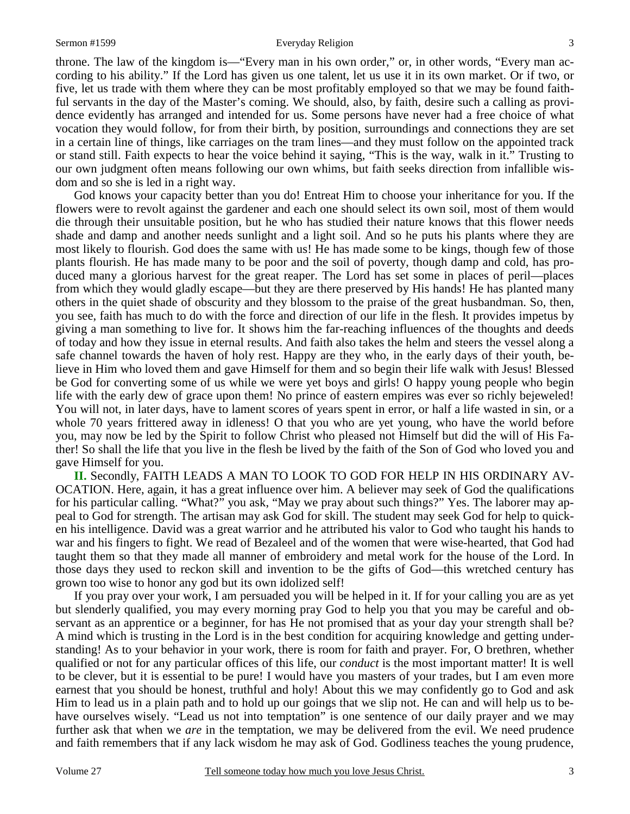#### Sermon #1599 **Everyday Religion** 3

throne. The law of the kingdom is—"Every man in his own order," or, in other words, "Every man according to his ability." If the Lord has given us one talent, let us use it in its own market. Or if two, or five, let us trade with them where they can be most profitably employed so that we may be found faithful servants in the day of the Master's coming. We should, also, by faith, desire such a calling as providence evidently has arranged and intended for us. Some persons have never had a free choice of what vocation they would follow, for from their birth, by position, surroundings and connections they are set in a certain line of things, like carriages on the tram lines—and they must follow on the appointed track or stand still. Faith expects to hear the voice behind it saying, "This is the way, walk in it." Trusting to our own judgment often means following our own whims, but faith seeks direction from infallible wisdom and so she is led in a right way.

 God knows your capacity better than you do! Entreat Him to choose your inheritance for you. If the flowers were to revolt against the gardener and each one should select its own soil, most of them would die through their unsuitable position, but he who has studied their nature knows that this flower needs shade and damp and another needs sunlight and a light soil. And so he puts his plants where they are most likely to flourish. God does the same with us! He has made some to be kings, though few of those plants flourish. He has made many to be poor and the soil of poverty, though damp and cold, has produced many a glorious harvest for the great reaper. The Lord has set some in places of peril—places from which they would gladly escape—but they are there preserved by His hands! He has planted many others in the quiet shade of obscurity and they blossom to the praise of the great husbandman. So, then, you see, faith has much to do with the force and direction of our life in the flesh. It provides impetus by giving a man something to live for. It shows him the far-reaching influences of the thoughts and deeds of today and how they issue in eternal results. And faith also takes the helm and steers the vessel along a safe channel towards the haven of holy rest. Happy are they who, in the early days of their youth, believe in Him who loved them and gave Himself for them and so begin their life walk with Jesus! Blessed be God for converting some of us while we were yet boys and girls! O happy young people who begin life with the early dew of grace upon them! No prince of eastern empires was ever so richly bejeweled! You will not, in later days, have to lament scores of years spent in error, or half a life wasted in sin, or a whole 70 years frittered away in idleness! O that you who are yet young, who have the world before you, may now be led by the Spirit to follow Christ who pleased not Himself but did the will of His Father! So shall the life that you live in the flesh be lived by the faith of the Son of God who loved you and gave Himself for you.

**II.** Secondly, FAITH LEADS A MAN TO LOOK TO GOD FOR HELP IN HIS ORDINARY AV-OCATION. Here, again, it has a great influence over him. A believer may seek of God the qualifications for his particular calling. "What?" you ask, "May we pray about such things?" Yes. The laborer may appeal to God for strength. The artisan may ask God for skill. The student may seek God for help to quicken his intelligence. David was a great warrior and he attributed his valor to God who taught his hands to war and his fingers to fight. We read of Bezaleel and of the women that were wise-hearted, that God had taught them so that they made all manner of embroidery and metal work for the house of the Lord. In those days they used to reckon skill and invention to be the gifts of God—this wretched century has grown too wise to honor any god but its own idolized self!

 If you pray over your work, I am persuaded you will be helped in it. If for your calling you are as yet but slenderly qualified, you may every morning pray God to help you that you may be careful and observant as an apprentice or a beginner, for has He not promised that as your day your strength shall be? A mind which is trusting in the Lord is in the best condition for acquiring knowledge and getting understanding! As to your behavior in your work, there is room for faith and prayer. For, O brethren, whether qualified or not for any particular offices of this life, our *conduct* is the most important matter! It is well to be clever, but it is essential to be pure! I would have you masters of your trades, but I am even more earnest that you should be honest, truthful and holy! About this we may confidently go to God and ask Him to lead us in a plain path and to hold up our goings that we slip not. He can and will help us to behave ourselves wisely. "Lead us not into temptation" is one sentence of our daily prayer and we may further ask that when we *are* in the temptation, we may be delivered from the evil. We need prudence and faith remembers that if any lack wisdom he may ask of God. Godliness teaches the young prudence,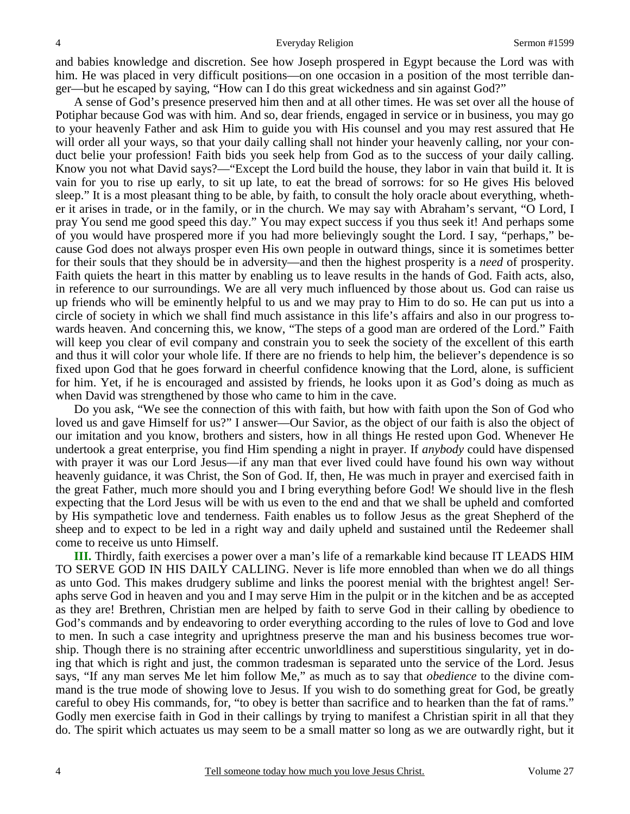and babies knowledge and discretion. See how Joseph prospered in Egypt because the Lord was with him. He was placed in very difficult positions—on one occasion in a position of the most terrible danger—but he escaped by saying, "How can I do this great wickedness and sin against God?"

 A sense of God's presence preserved him then and at all other times. He was set over all the house of Potiphar because God was with him. And so, dear friends, engaged in service or in business, you may go to your heavenly Father and ask Him to guide you with His counsel and you may rest assured that He will order all your ways, so that your daily calling shall not hinder your heavenly calling, nor your conduct belie your profession! Faith bids you seek help from God as to the success of your daily calling. Know you not what David says?—"Except the Lord build the house, they labor in vain that build it. It is vain for you to rise up early, to sit up late, to eat the bread of sorrows: for so He gives His beloved sleep." It is a most pleasant thing to be able, by faith, to consult the holy oracle about everything, whether it arises in trade, or in the family, or in the church. We may say with Abraham's servant, "O Lord, I pray You send me good speed this day." You may expect success if you thus seek it! And perhaps some of you would have prospered more if you had more believingly sought the Lord. I say, "perhaps," because God does not always prosper even His own people in outward things, since it is sometimes better for their souls that they should be in adversity—and then the highest prosperity is a *need* of prosperity. Faith quiets the heart in this matter by enabling us to leave results in the hands of God. Faith acts, also, in reference to our surroundings. We are all very much influenced by those about us. God can raise us up friends who will be eminently helpful to us and we may pray to Him to do so. He can put us into a circle of society in which we shall find much assistance in this life's affairs and also in our progress towards heaven. And concerning this, we know, "The steps of a good man are ordered of the Lord." Faith will keep you clear of evil company and constrain you to seek the society of the excellent of this earth and thus it will color your whole life. If there are no friends to help him, the believer's dependence is so fixed upon God that he goes forward in cheerful confidence knowing that the Lord, alone, is sufficient for him. Yet, if he is encouraged and assisted by friends, he looks upon it as God's doing as much as when David was strengthened by those who came to him in the cave.

 Do you ask, "We see the connection of this with faith, but how with faith upon the Son of God who loved us and gave Himself for us?" I answer—Our Savior, as the object of our faith is also the object of our imitation and you know, brothers and sisters, how in all things He rested upon God. Whenever He undertook a great enterprise, you find Him spending a night in prayer. If *anybody* could have dispensed with prayer it was our Lord Jesus—if any man that ever lived could have found his own way without heavenly guidance, it was Christ, the Son of God. If, then, He was much in prayer and exercised faith in the great Father, much more should you and I bring everything before God! We should live in the flesh expecting that the Lord Jesus will be with us even to the end and that we shall be upheld and comforted by His sympathetic love and tenderness. Faith enables us to follow Jesus as the great Shepherd of the sheep and to expect to be led in a right way and daily upheld and sustained until the Redeemer shall come to receive us unto Himself.

**III.** Thirdly, faith exercises a power over a man's life of a remarkable kind because IT LEADS HIM TO SERVE GOD IN HIS DAILY CALLING. Never is life more ennobled than when we do all things as unto God. This makes drudgery sublime and links the poorest menial with the brightest angel! Seraphs serve God in heaven and you and I may serve Him in the pulpit or in the kitchen and be as accepted as they are! Brethren, Christian men are helped by faith to serve God in their calling by obedience to God's commands and by endeavoring to order everything according to the rules of love to God and love to men. In such a case integrity and uprightness preserve the man and his business becomes true worship. Though there is no straining after eccentric unworldliness and superstitious singularity, yet in doing that which is right and just, the common tradesman is separated unto the service of the Lord. Jesus says, "If any man serves Me let him follow Me," as much as to say that *obedience* to the divine command is the true mode of showing love to Jesus. If you wish to do something great for God, be greatly careful to obey His commands, for, "to obey is better than sacrifice and to hearken than the fat of rams." Godly men exercise faith in God in their callings by trying to manifest a Christian spirit in all that they do. The spirit which actuates us may seem to be a small matter so long as we are outwardly right, but it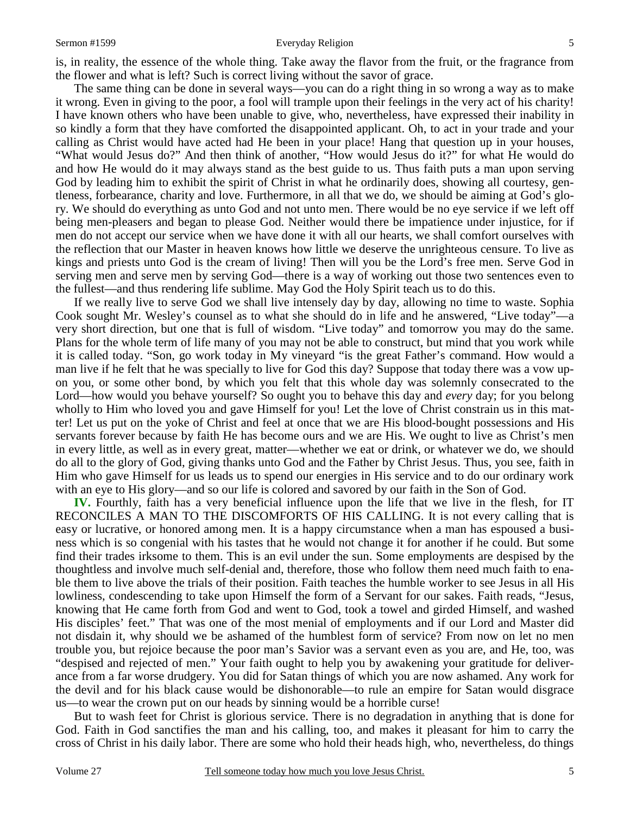#### Sermon #1599 **Everyday Religion** 5

is, in reality, the essence of the whole thing. Take away the flavor from the fruit, or the fragrance from the flower and what is left? Such is correct living without the savor of grace.

 The same thing can be done in several ways—you can do a right thing in so wrong a way as to make it wrong. Even in giving to the poor, a fool will trample upon their feelings in the very act of his charity! I have known others who have been unable to give, who, nevertheless, have expressed their inability in so kindly a form that they have comforted the disappointed applicant. Oh, to act in your trade and your calling as Christ would have acted had He been in your place! Hang that question up in your houses, "What would Jesus do?" And then think of another, "How would Jesus do it?" for what He would do and how He would do it may always stand as the best guide to us. Thus faith puts a man upon serving God by leading him to exhibit the spirit of Christ in what he ordinarily does, showing all courtesy, gentleness, forbearance, charity and love. Furthermore, in all that we do, we should be aiming at God's glory. We should do everything as unto God and not unto men. There would be no eye service if we left off being men-pleasers and began to please God. Neither would there be impatience under injustice, for if men do not accept our service when we have done it with all our hearts, we shall comfort ourselves with the reflection that our Master in heaven knows how little we deserve the unrighteous censure. To live as kings and priests unto God is the cream of living! Then will you be the Lord's free men. Serve God in serving men and serve men by serving God—there is a way of working out those two sentences even to the fullest—and thus rendering life sublime. May God the Holy Spirit teach us to do this.

 If we really live to serve God we shall live intensely day by day, allowing no time to waste. Sophia Cook sought Mr. Wesley's counsel as to what she should do in life and he answered, "Live today"—a very short direction, but one that is full of wisdom. "Live today" and tomorrow you may do the same. Plans for the whole term of life many of you may not be able to construct, but mind that you work while it is called today. "Son, go work today in My vineyard "is the great Father's command. How would a man live if he felt that he was specially to live for God this day? Suppose that today there was a vow upon you, or some other bond, by which you felt that this whole day was solemnly consecrated to the Lord—how would you behave yourself? So ought you to behave this day and *every* day; for you belong wholly to Him who loved you and gave Himself for you! Let the love of Christ constrain us in this matter! Let us put on the yoke of Christ and feel at once that we are His blood-bought possessions and His servants forever because by faith He has become ours and we are His. We ought to live as Christ's men in every little, as well as in every great, matter—whether we eat or drink, or whatever we do, we should do all to the glory of God, giving thanks unto God and the Father by Christ Jesus. Thus, you see, faith in Him who gave Himself for us leads us to spend our energies in His service and to do our ordinary work with an eye to His glory—and so our life is colored and savored by our faith in the Son of God.

**IV.** Fourthly, faith has a very beneficial influence upon the life that we live in the flesh, for IT RECONCILES A MAN TO THE DISCOMFORTS OF HIS CALLING. It is not every calling that is easy or lucrative, or honored among men. It is a happy circumstance when a man has espoused a business which is so congenial with his tastes that he would not change it for another if he could. But some find their trades irksome to them. This is an evil under the sun. Some employments are despised by the thoughtless and involve much self-denial and, therefore, those who follow them need much faith to enable them to live above the trials of their position. Faith teaches the humble worker to see Jesus in all His lowliness, condescending to take upon Himself the form of a Servant for our sakes. Faith reads, "Jesus, knowing that He came forth from God and went to God, took a towel and girded Himself, and washed His disciples' feet." That was one of the most menial of employments and if our Lord and Master did not disdain it, why should we be ashamed of the humblest form of service? From now on let no men trouble you, but rejoice because the poor man's Savior was a servant even as you are, and He, too, was "despised and rejected of men." Your faith ought to help you by awakening your gratitude for deliverance from a far worse drudgery. You did for Satan things of which you are now ashamed. Any work for the devil and for his black cause would be dishonorable—to rule an empire for Satan would disgrace us—to wear the crown put on our heads by sinning would be a horrible curse!

 But to wash feet for Christ is glorious service. There is no degradation in anything that is done for God. Faith in God sanctifies the man and his calling, too, and makes it pleasant for him to carry the cross of Christ in his daily labor. There are some who hold their heads high, who, nevertheless, do things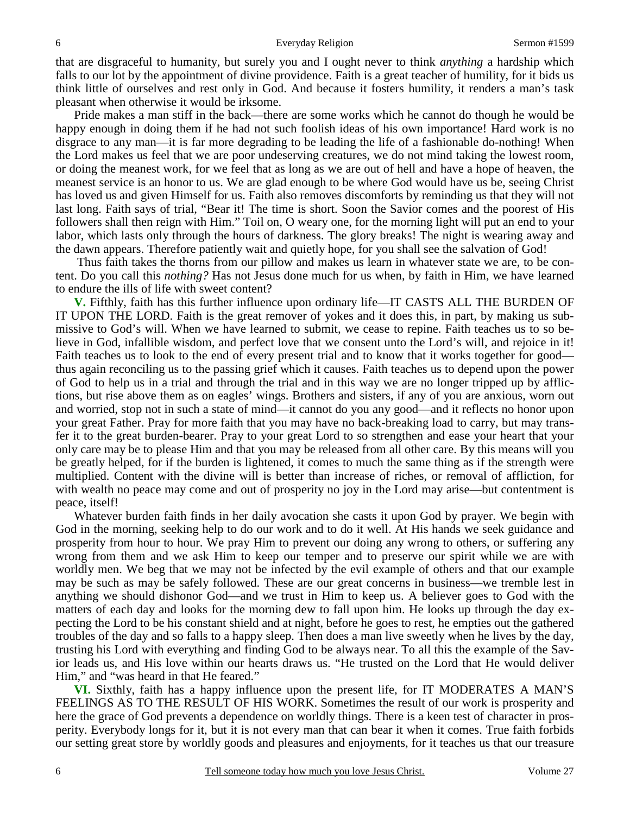that are disgraceful to humanity, but surely you and I ought never to think *anything* a hardship which falls to our lot by the appointment of divine providence. Faith is a great teacher of humility, for it bids us think little of ourselves and rest only in God. And because it fosters humility, it renders a man's task pleasant when otherwise it would be irksome.

 Pride makes a man stiff in the back—there are some works which he cannot do though he would be happy enough in doing them if he had not such foolish ideas of his own importance! Hard work is no disgrace to any man—it is far more degrading to be leading the life of a fashionable do-nothing! When the Lord makes us feel that we are poor undeserving creatures, we do not mind taking the lowest room, or doing the meanest work, for we feel that as long as we are out of hell and have a hope of heaven, the meanest service is an honor to us. We are glad enough to be where God would have us be, seeing Christ has loved us and given Himself for us. Faith also removes discomforts by reminding us that they will not last long. Faith says of trial, "Bear it! The time is short. Soon the Savior comes and the poorest of His followers shall then reign with Him." Toil on, O weary one, for the morning light will put an end to your labor, which lasts only through the hours of darkness. The glory breaks! The night is wearing away and the dawn appears. Therefore patiently wait and quietly hope, for you shall see the salvation of God!

 Thus faith takes the thorns from our pillow and makes us learn in whatever state we are, to be content. Do you call this *nothing?* Has not Jesus done much for us when, by faith in Him, we have learned to endure the ills of life with sweet content?

**V.** Fifthly, faith has this further influence upon ordinary life—IT CASTS ALL THE BURDEN OF IT UPON THE LORD. Faith is the great remover of yokes and it does this, in part, by making us submissive to God's will. When we have learned to submit, we cease to repine. Faith teaches us to so believe in God, infallible wisdom, and perfect love that we consent unto the Lord's will, and rejoice in it! Faith teaches us to look to the end of every present trial and to know that it works together for good thus again reconciling us to the passing grief which it causes. Faith teaches us to depend upon the power of God to help us in a trial and through the trial and in this way we are no longer tripped up by afflictions, but rise above them as on eagles' wings. Brothers and sisters, if any of you are anxious, worn out and worried, stop not in such a state of mind—it cannot do you any good—and it reflects no honor upon your great Father. Pray for more faith that you may have no back-breaking load to carry, but may transfer it to the great burden-bearer. Pray to your great Lord to so strengthen and ease your heart that your only care may be to please Him and that you may be released from all other care. By this means will you be greatly helped, for if the burden is lightened, it comes to much the same thing as if the strength were multiplied. Content with the divine will is better than increase of riches, or removal of affliction, for with wealth no peace may come and out of prosperity no joy in the Lord may arise—but contentment is peace, itself!

 Whatever burden faith finds in her daily avocation she casts it upon God by prayer. We begin with God in the morning, seeking help to do our work and to do it well. At His hands we seek guidance and prosperity from hour to hour. We pray Him to prevent our doing any wrong to others, or suffering any wrong from them and we ask Him to keep our temper and to preserve our spirit while we are with worldly men. We beg that we may not be infected by the evil example of others and that our example may be such as may be safely followed. These are our great concerns in business—we tremble lest in anything we should dishonor God—and we trust in Him to keep us. A believer goes to God with the matters of each day and looks for the morning dew to fall upon him. He looks up through the day expecting the Lord to be his constant shield and at night, before he goes to rest, he empties out the gathered troubles of the day and so falls to a happy sleep. Then does a man live sweetly when he lives by the day, trusting his Lord with everything and finding God to be always near. To all this the example of the Savior leads us, and His love within our hearts draws us. "He trusted on the Lord that He would deliver Him," and "was heard in that He feared."

**VI.** Sixthly, faith has a happy influence upon the present life, for IT MODERATES A MAN'S FEELINGS AS TO THE RESULT OF HIS WORK. Sometimes the result of our work is prosperity and here the grace of God prevents a dependence on worldly things. There is a keen test of character in prosperity. Everybody longs for it, but it is not every man that can bear it when it comes. True faith forbids our setting great store by worldly goods and pleasures and enjoyments, for it teaches us that our treasure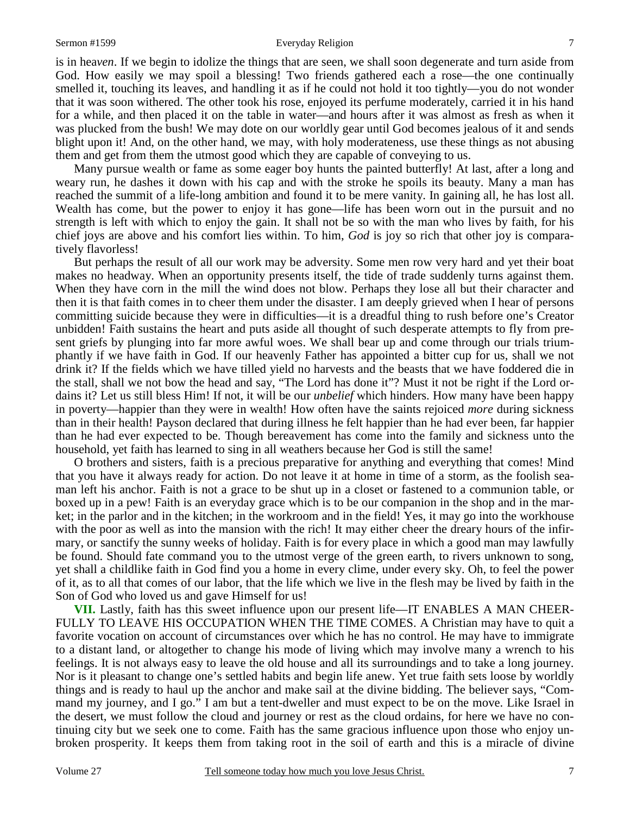### Sermon #1599 **Everyday Religion** 7

is in hea*ven*. If we begin to idolize the things that are seen, we shall soon degenerate and turn aside from God. How easily we may spoil a blessing! Two friends gathered each a rose—the one continually smelled it, touching its leaves, and handling it as if he could not hold it too tightly—you do not wonder that it was soon withered. The other took his rose, enjoyed its perfume moderately, carried it in his hand for a while, and then placed it on the table in water—and hours after it was almost as fresh as when it was plucked from the bush! We may dote on our worldly gear until God becomes jealous of it and sends blight upon it! And, on the other hand, we may, with holy moderateness, use these things as not abusing them and get from them the utmost good which they are capable of conveying to us.

 Many pursue wealth or fame as some eager boy hunts the painted butterfly! At last, after a long and weary run, he dashes it down with his cap and with the stroke he spoils its beauty. Many a man has reached the summit of a life-long ambition and found it to be mere vanity. In gaining all, he has lost all. Wealth has come, but the power to enjoy it has gone—life has been worn out in the pursuit and no strength is left with which to enjoy the gain. It shall not be so with the man who lives by faith, for his chief joys are above and his comfort lies within. To him, *God* is joy so rich that other joy is comparatively flavorless!

 But perhaps the result of all our work may be adversity. Some men row very hard and yet their boat makes no headway. When an opportunity presents itself, the tide of trade suddenly turns against them. When they have corn in the mill the wind does not blow. Perhaps they lose all but their character and then it is that faith comes in to cheer them under the disaster. I am deeply grieved when I hear of persons committing suicide because they were in difficulties—it is a dreadful thing to rush before one's Creator unbidden! Faith sustains the heart and puts aside all thought of such desperate attempts to fly from present griefs by plunging into far more awful woes. We shall bear up and come through our trials triumphantly if we have faith in God. If our heavenly Father has appointed a bitter cup for us, shall we not drink it? If the fields which we have tilled yield no harvests and the beasts that we have foddered die in the stall, shall we not bow the head and say, "The Lord has done it"? Must it not be right if the Lord ordains it? Let us still bless Him! If not, it will be our *unbelief* which hinders. How many have been happy in poverty—happier than they were in wealth! How often have the saints rejoiced *more* during sickness than in their health! Payson declared that during illness he felt happier than he had ever been, far happier than he had ever expected to be. Though bereavement has come into the family and sickness unto the household, yet faith has learned to sing in all weathers because her God is still the same!

 O brothers and sisters, faith is a precious preparative for anything and everything that comes! Mind that you have it always ready for action. Do not leave it at home in time of a storm, as the foolish seaman left his anchor. Faith is not a grace to be shut up in a closet or fastened to a communion table, or boxed up in a pew! Faith is an everyday grace which is to be our companion in the shop and in the market; in the parlor and in the kitchen; in the workroom and in the field! Yes, it may go into the workhouse with the poor as well as into the mansion with the rich! It may either cheer the dreary hours of the infirmary, or sanctify the sunny weeks of holiday. Faith is for every place in which a good man may lawfully be found. Should fate command you to the utmost verge of the green earth, to rivers unknown to song, yet shall a childlike faith in God find you a home in every clime, under every sky. Oh, to feel the power of it, as to all that comes of our labor, that the life which we live in the flesh may be lived by faith in the Son of God who loved us and gave Himself for us!

**VII.** Lastly, faith has this sweet influence upon our present life—IT ENABLES A MAN CHEER-FULLY TO LEAVE HIS OCCUPATION WHEN THE TIME COMES. A Christian may have to quit a favorite vocation on account of circumstances over which he has no control. He may have to immigrate to a distant land, or altogether to change his mode of living which may involve many a wrench to his feelings. It is not always easy to leave the old house and all its surroundings and to take a long journey. Nor is it pleasant to change one's settled habits and begin life anew. Yet true faith sets loose by worldly things and is ready to haul up the anchor and make sail at the divine bidding. The believer says, "Command my journey, and I go." I am but a tent-dweller and must expect to be on the move. Like Israel in the desert, we must follow the cloud and journey or rest as the cloud ordains, for here we have no continuing city but we seek one to come. Faith has the same gracious influence upon those who enjoy unbroken prosperity. It keeps them from taking root in the soil of earth and this is a miracle of divine